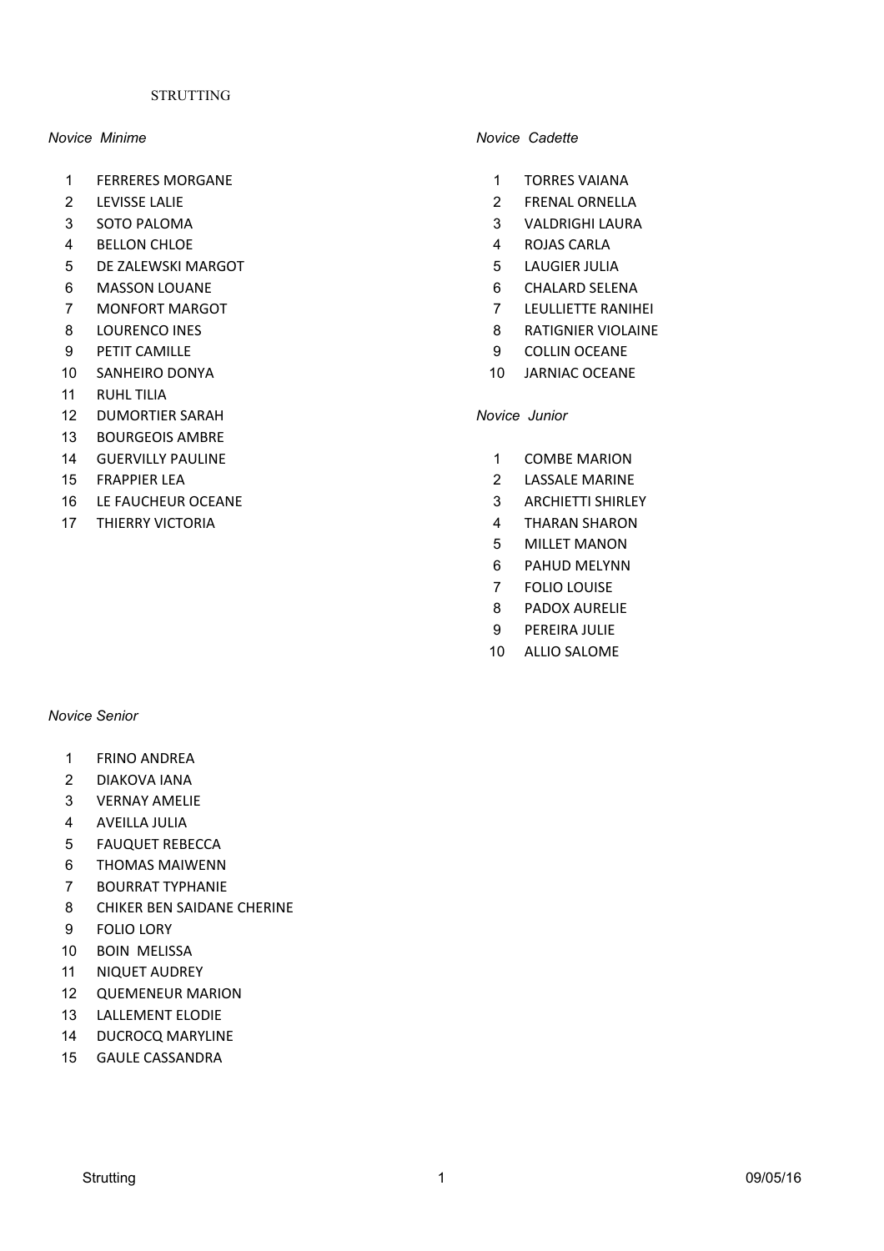### **STRUTTING**

- 1 FERRERES MORGANE 1 TORRES VAIANA
- 
- 
- 4 BELLON CHLOE 2000 12000 12000 12000 12000 12000 12000 12000 12000 12000 12000 12000 12000 12000 12000 12000 12000 12000 12000 12000 12000 12000 12000 12000 12000 12000 12000 12000 12000 12000 12000 12000 12000 12000 1200
- 5 DE ZALEWSKI MARGOT **12000 12000 12000 12000 12000 12000 12000 12000 12000 12000 12000 12000 12000 12000 1200**
- 6 MASSON LOUANE **6 MASSON LOUANE** 6 CHALARD SELENA
- **7 MONFORT MARGOT 7 LEULLIETTE RANIHEI**
- 
- 9 PETIT CAMILLE 9 COLLIN OCEANE
- 10 SANHEIRO DONYA 10 JARNIAC OCEANE
- 11 RUHL TILIA
- 12 DUMORTIER SARAH *Novice Junior*
- 13 BOURGEOIS AMBRE
- 14 GUERVILLY PAULINE **12 COMBE MARION**
- 
- 16 LE FAUCHEUR OCEANE **16 LE SEPTEMBER 16 LE FAUCHEUR** OCEANE
- 17 THIERRY VICTORIA **1999 1999 1999 1999 1999 1999 1999 1999 1999 1999 1999 1999 1999**

### *Novice Senior*

- 1 FRINO ANDREA
- 2 DIAKOVA IANA
- 3 VERNAY AMELIE
- 4 AVEILLA JULIA
- 5 FAUQUET REBECCA
- 6 THOMAS MAIWENN
- 7 BOURRAT TYPHANIE
- 8 CHIKER BEN SAIDANE CHERINE
- 9 FOLIO LORY
- 10 BOIN MELISSA
- 11 NIQUET AUDREY
- 12 QUEMENEUR MARION
- 13 LALLEMENT ELODIE
- 14 DUCROCQ MARYLINE
- 15 GAULE CASSANDRA

### *Novice Minime Novice Cadette*

- 
- 2 LEVISSE LALIE 2 FRENAL ORNELLA
- 3 SOTO PALOMA **3 SOTO PALOMA** 3 VALDRIGHI LAURA
	-
	-
	-
	-
- 8 LOURENCO INES 6 2012 12:30 12:30 12:30 12:30 12:30 12:30 12:30 12:30 12:30 12:30 12:30 12:30 12:30 12:30 12:30 12:30 12:30 12:30 12:30 12:30 12:30 12:30 12:30 12:30 12:30 12:30 12:30 12:30 12:30 12:30 12:30 12:30 12:30 1
	-
	-

- 
- **15 FRAPPIER LEA** 2 LASSALE MARINE
	-
	-
	- 5 MILLET MANON
	- 6 PAHUD MELYNN
	- 7 FOLIO LOUISE
	- 8 PADOX AURELIE
	- 9 PEREIRA JULIE
	- 10 ALLIO SALOME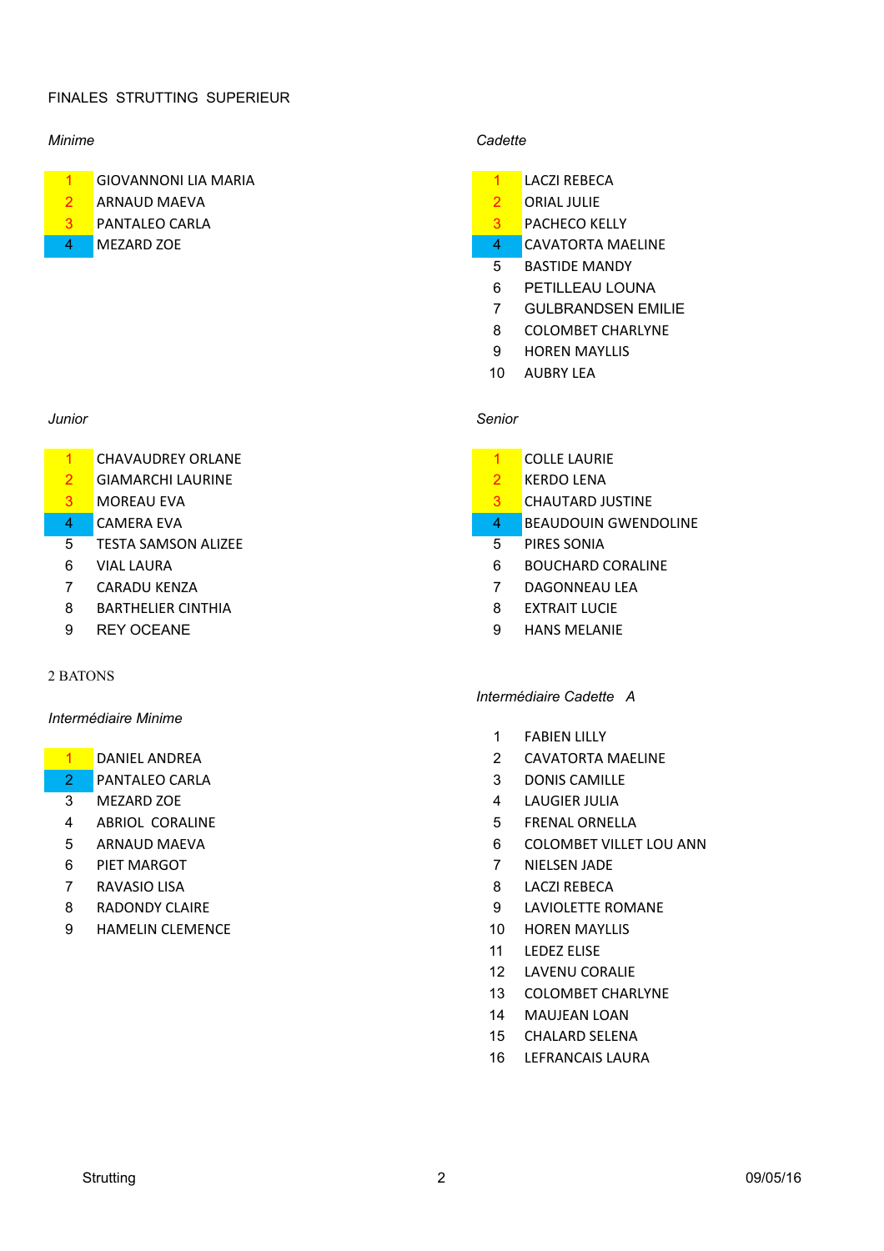# FINALES STRUTTING SUPERIEUR

- 1 GIOVANNONI LIA MARIA 1 LACZI REBECA
- <u>2</u> ARNAUD MAEVA 2 ORIAL JULIE
- 
- 

- 1 CHAVAUDREY ORLANE 1 COLLE LAURIE
- 2 GIAMARCHI LAURINE 2 KERDO LENA
- 
- 
- **5** TESTA SAMSON ALIZEE **1999** TESTA SAMSON ALIZEE
- 
- 
- 8 BARTHELIER CINTHIA 8 EXTRAIT LUCIE
- 

### 2 BATONS

### *Intermédiaire Minime*

- 
- **2** PANTALEO CARLA 2 2 DONIS CAMILLE
- 
- 4 ABRIOL CORALINE **1999 12:20 12:20 12:20 12:20 12:20 12:20 12:20 12:20 12:20 12:20 12:20 12:20 12:20 12:20 12:20 12:20 12:20 12:20 12:20 12:20 12:20 12:20 12:20 12:20 12:20 12:20 12:20 12:20 12:20 12:20 12:20 12:20 12:20**
- 
- 
- 
- 
- 9 HAMELIN CLEMENCE 10 HOREN MAYLLIS

### *Minime Cadette*

- 
- 
- **3** PANTALEO CARLA **3** PACHECO KELLY
- 4 MEZARD ZOE 4 CAVATORTA MAELINE
	- 5 BASTIDE MANDY
	- 6 PETILLEAU LOUNA
	- 7 GULBRANDSEN EMILIE
	- 8 COLOMBET CHARLYNE
	- 9 HOREN MAYLLIS
	- 10 AUBRY LEA

### *Junior Senior*

- 
- 
- 3 MOREAU EVA 3 CHAUTARD JUSTINE
- 4 CAMERA EVA **1999 CAMERA EVA** 4 BEAUDOUIN GWENDOLINE
	-
- 6 VIAL LAURA **6 BOUCHARD CORALINE**
- **7 CARADU KENZA 7 DAGONNEAU LEA** 
	-
- 9 REY OCEANE 9 HANS MELANIE

### *Intermédiaire Cadette A*

- 1 FABIEN LILLY
- **1** DANIEL ANDREA 2 CAVATORTA MAELINE
	-
	- 3 MEZARD ZOE 2000 120 MEZARD 2000 12000 12000 12000 12000 12000 12000 12000 12000 12000 12000 12000 12000 1200
		-
	- 5 ARNAUD MAEVA **6 COLOMBET VILLET LOU ANN**
	- 6 PIFT MARGOT **7 NIELSEN JADE**
	- **7 RAVASIO LISA** 8 LACZI REBECA
	- 8 RADONDY CLAIRE **19 CONTROLLET AND RESEARCH AT A SET AND A LAVIOLETTE ROMANE** 
		-
		- 11 LEDEZ ELISE
		- 12 LAVENU CORALIF
		- 13 COLOMBET CHARLYNE
		- 14 MAUJEAN LOAN
		- 15 CHALARD SELENA
		- 16 LEFRANCAIS LAURA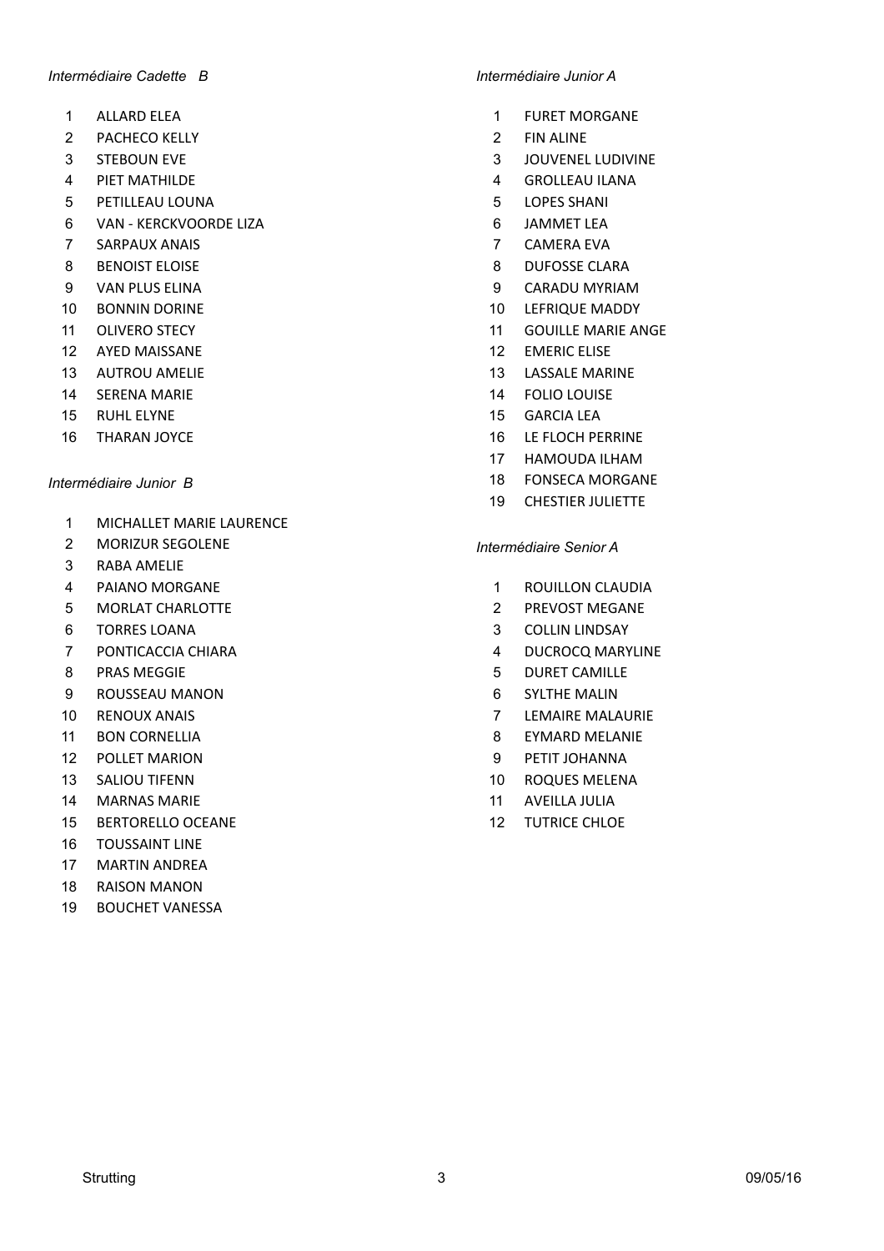### *Intermédiaire Cadette B Intermédiaire Junior A*

- 
- 2 PACHECO KELLY 2 FIN ALINE
- 
- 
- 5 PETILLEAU LOUNA **5 PETILLEAU** LOUNA
- 6 VAN - KERCKVOORDE LIZA 6 JAMMET LEA
- **7 SARPAUX ANAIS 2008 12:00 2009 12:00 2009 12:00 2009 12:00 2009 12:00 2009 12:00 2009 12:00 2009 12:00 2009 12:00 2009 12:00 2009 12:00 2009 12:00 2009 12:00 2009 12:00 2009 12:00 2009 12:00 2009 12:00 2009 12:00 2009 12**
- 
- 
- 
- 
- 12 AYED MAISSANE 12 HOTEL AND THE 12 HOTEL AND THE 12 HOTEL ELISE
- 
- 
- 
- 

- 1 MICHALLET MARIE LAURENCE
- 2 MORIZUR SEGOLENE *Intermédiaire Senior A*
- 3 RABA AMFLIF
- 
- 5 MORLAT CHARLOTTE **2 PREVOST MEGANE**
- 
- 7 PONTICACCIA CHIARA 4 DUCROCQ MARYLINE
- 
- 9 ROUSSEAU MANON **1998** 8 CYLTHE MALIN
- 
- 
- 
- 
- **14 MARNAS MARIE 11 AVEILLA JULIA**
- 15 BERTORELLO OCEANE 12 TUTRICE CHLOE
- 16 TOUSSAINT LINE
- 17 MARTIN ANDRFA
- 18 RAISON MANON
- 19 BOUCHET VANESSA

- 1 ALLARD ELEA 2002 1 2003 1 2004 1 2016 1 2017 1 2018 1 2019 1 2019 1 2019 1 2019 1 2019 1 2019 1 2019 1 2019 1 2019 1 2019 1 2019 1 2019 1 2019 1 2019 1 2019 1 2019 1 2019 1 2
	-
- 3 STEBOUN EVE 3 JOUVENEL LUDIVINE
- 4 PIET MATHILDE 2000 100 2000 1000 2000 1000 4 GROLLEAU ILANA
	-
	-
	-
- 8 BENOIST ELOISE **8 BENOIST ELOISE**
- 9 VAN PLUS ELINA 9 CARADU MYRIAM
- 10 BONNIN DORINE 2000 10 LEFRIQUE MADDY
- 11 OLIVERO STECY **11 GOUILLE MARIE ANGE** 
	-
- 13 AUTROU AMELIE **13 CALL 13 AUTROU** AMELIE
- 14 SERENA MARIE 2000 12 DE 2000 12 DE 2010 14 FOLIO LOUISE
- 15 RUHL ELYNE 15 GARCIA LEA
- 16 THARAN JOYCE **16 LE FLOCH PERRINE** 
	- 17 HAMOUDA ILHAM
- *Intermédiaire Junior B* 18 FONSECA MORGANE
	- 19 CHESTIER JULIETTE

- 4 PAIANO MORGANE 2008 1 ROUILLON CLAUDIA
	-
- 6 TORRES LOANA 2000 100 2000 100 2000 100 3 2000 100 2000 100 2000 100 2000 100 2000 100 2000 100 2000 100 200
	-
- 8 PRAS MEGGIE 5 DURET CAMILLE
	-
- 10 RENOUX ANAIS **10 CONTRACT CONTRACT CONTRACT CONTRACT CONTRACT CONTRACT CONTRACT CONTRACT CONTRACT CONTRACT CONTRACT CONTRACT CONTRACT CONTRACT CONTRACT CONTRACT CONTRACT CONTRACT CONTRACT CONTRACT CONTRACT CONTRACT CONT**
- 11 BON CORNELLIA **8 EYMARD MELANIE**
- 12 POLLET MARION **12 POLLET MARION 12 POLLET MARION**
- 13 SALIOU TIFENN 10 ROQUES MELENA
	-
	-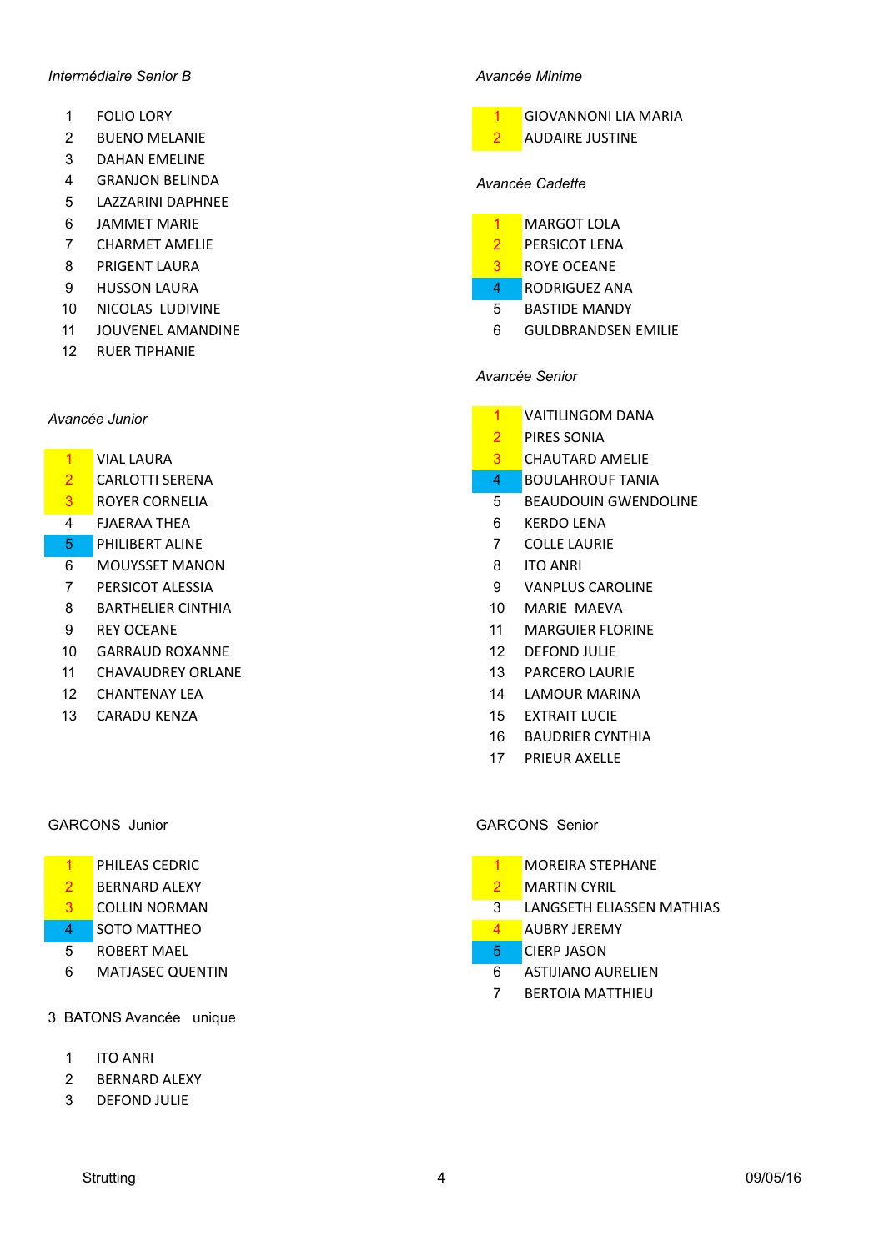### *Intermédiaire Senior B Avancée Minime*

- 
- 2 BUENO MELANIE 2 AUDAIRE JUSTINE
- 3 DAHAN FMFLINE
- 4 GRANJON BELINDA *Avancée Cadette*
- 5 LAZZARINI DAPHNEE
- 6 **JAMMET MARIF**
- **7** CHARMET AMELIE **2 PERSICOT LENA**
- 8 PRIGENT LAURA 3 ROYE OCEANE
- 9 HUSSON LAURA **1999 HUSSON LAURA** 4 RODRIGUEZ ANA
- 10 NICOLAS LUDIVINE **10** 10 NICOLAS LUDIVINE
- 
- 12 RUER TIPHANIE

- **2 CARLOTTI SERENA 12 CARLOTTI SERENA 12 CARLOTTI SERENA**
- 
- 4 FJAERAA THEA 6 KERDO LENA
- 5 PHILIBERT ALINE 7 COLLE LAURIE
- 6 MOUYSSET MANON 8 ITO ANRI
- 
- 8 BARTHELIER CINTHIA 10 MARIE MAEVA
- 
- 10 GARRAUD ROXANNE 12 DEFOND JULIE
- 11 CHAVAUDREY ORLANE 13 PARCERO LAURIE
- 
- 13 CARADU KENZA 15 EXTRAIT LUCIE

- 
- **2** BERNARD ALEXY **2 MARTIN** CYRIL
- 
- **4 SOTO MATTHEO 4 AUBRY JEREMY**
- **5** ROBERT MAEL **5** ROBERT MAEL
- 6 MATIASEC OUENTIN 6 ASTIJIANO AURELIEN
- 3 BATONS Avancée unique
	- 1 ITO ANRI
	- 2 BERNARD ALEXY
	- 3 DEFOND JULIE



- 
- 
- 
- 
- 11 JOUVENEL AMANDINE **1000 COLLEGATES 1000 COLLEGATES 1000 COLLEGATES 1000 COLLEGATES 1000 COLLEGATES 1000 COLLEGATES**

# *Avancée Senior*

- **Avancée Junior** 1 **VAITILINGOM DANA** 
	- 2 PIRES SONIA
	- <u>1</u> VIAL LAURA 2008 2009 2010 2010 2010 2010 2010 2010 2010 2010 2010 2010 2010 2010 2010 2010 2010 2010 2010 2010 2010 2010 2010 2010 2010 2010 2010 2010 2010 2010
		-
	- 3 ROYER CORNELIA 6 2010 2021 2022 3 3 3 BEAUDOUIN GWENDOLINE
		-
		-
		-
	- **7 PERSICOT ALESSIA 19 In the U.S. A. S. A. S. A. S. A. S. A. S. A. S. A. S. A. S. A. S. A. S. A. S. A. S. A. S. A. S. A. S. A. S. A. S. A. S. A. S. A. S. A. S. A. S. A. S. A. S. A. S. A. S. A. S. A. S. A. S. A. S. A. S. A** 
		-
	- 9 REY OCEANE 11 MARGUIER FLORINE
		-
		-
	- 12 CHANTENAY LEA 14 LAMOUR MARINA
		-
		- 16 BAUDRIER CYNTHIA
		- 17 PRIFUR AXFLLF

### GARCONS Junior GARCONS Senior

- 1 PHILEAS CEDRIC 2008 1 MOREIRA STEPHANE
	-
- **3** COLLIN NORMAN **3** COLLIN NORMAN **3** LANGSETH ELIASSEN MATHIAS
	-
	-
	-
	- 7 BERTOIA MATTHIEU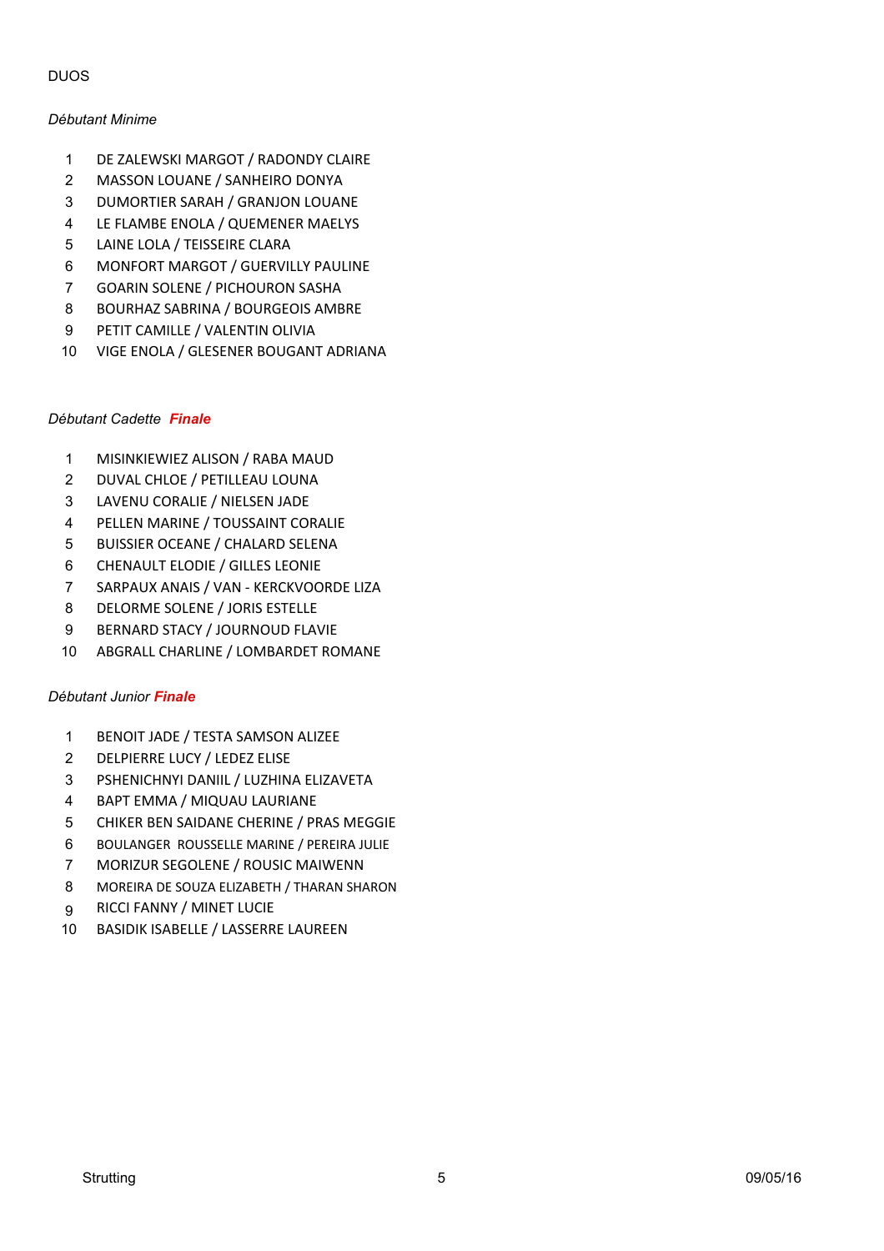# DUOS

## *Débutant Minime*

- 1 DE ZALEWSKI MARGOT / RADONDY CLAIRE
- 2 MASSON LOUANE / SANHEIRO DONYA
- 3 DUMORTIER SARAH / GRANJON LOUANE
- 4 LE FLAMBE ENOLA / QUEMENER MAELYS
- 5 LAINE LOLA / TEISSEIRE CLARA
- 6 MONFORT MARGOT / GUERVILLY PAULINE
- 7 GOARIN SOLENE / PICHOURON SASHA
- 8 BOURHAZ SABRINA / BOURGEOIS AMBRE
- 9 PETIT CAMILLE / VALENTIN OLIVIA
- 10 VIGE ENOLA / GLESENER BOUGANT ADRIANA

# *Débutant Cadette Finale*

- 1 MISINKIEWIEZ ALISON / RABA MAUD
- 2 DUVAL CHLOE / PETILLEAU LOUNA
- 3 LAVENU CORALIE / NIELSEN JADE
- 4 PELLEN MARINE / TOUSSAINT CORALIE
- 5 BUISSIER OCEANE / CHALARD SELENA
- 6 CHENAULT ELODIE / GILLES LEONIE
- 7 SARPAUX ANAIS / VAN KERCKVOORDE LIZA
- 8 DELORME SOLENE / JORIS ESTELLE
- 9 BERNARD STACY / JOURNOUD FLAVIE
- 10 ABGRALL CHARLINE / LOMBARDET ROMANE

# *Débutant Junior Finale*

- 1 BENOIT JADE / TESTA SAMSON ALIZEE
- 2 DELPIERRE LUCY / LEDEZ ELISE
- 3 PSHENICHNYI DANIIL / LUZHINA ELIZAVETA
- 4 BAPT EMMA / MIQUAU LAURIANE
- 5 CHIKER BEN SAIDANE CHERINE / PRAS MEGGIE
- 6 BOULANGER ROUSSELLE MARINE / PEREIRA JULIE
- 7 MORIZUR SEGOLENE / ROUSIC MAIWENN
- 8 MOREIRA DE SOUZA ELIZABETH / THARAN SHARON
- 9 RICCI FANNY / MINET LUCIE
- 10 BASIDIK ISABELLE / LASSERRE LAUREEN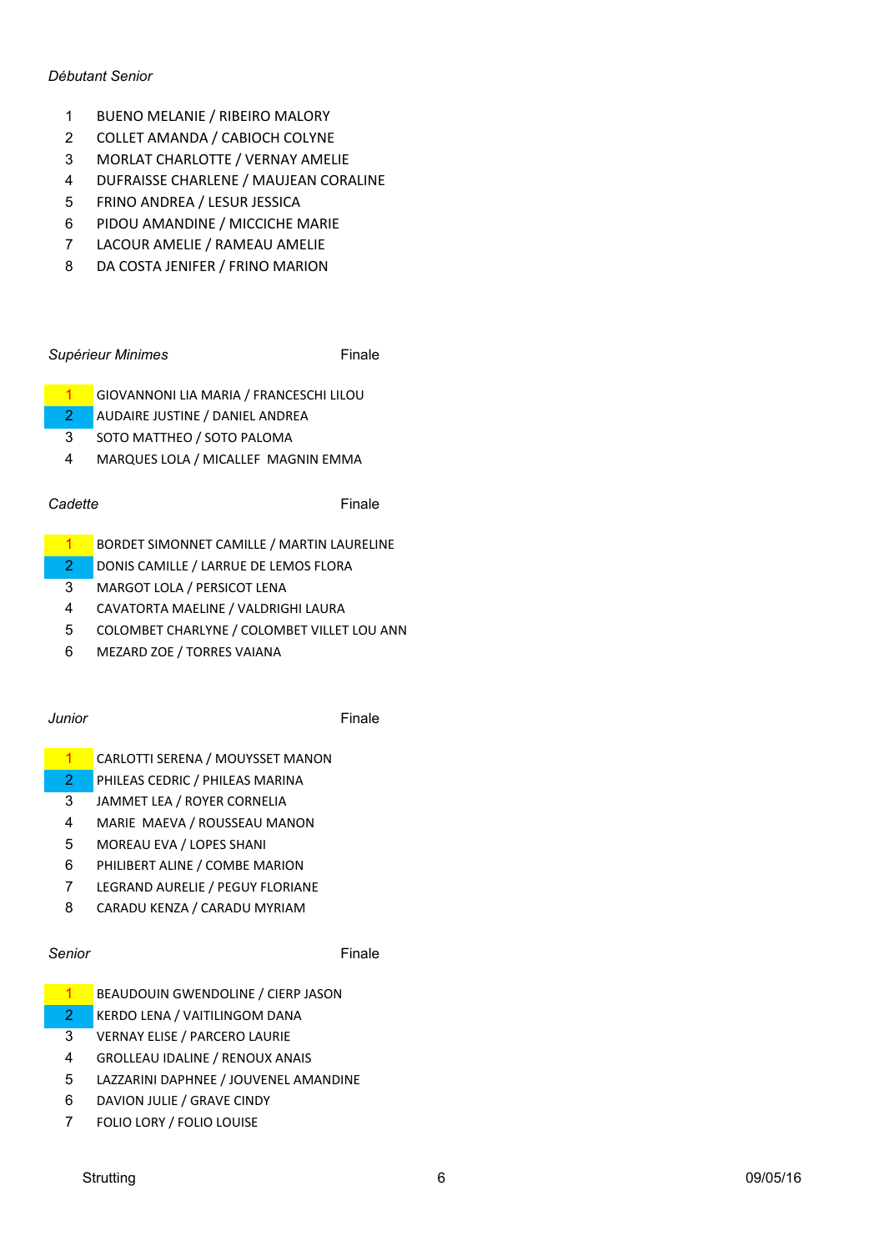### *Débutant Senior*

- 1 BUENO MELANIE / RIBEIRO MALORY
- 2 COLLET AMANDA / CABIOCH COLYNE
- 3 MORLAT CHARLOTTE / VERNAY AMELIE
- 4 DUFRAISSE CHARLENE / MAUJEAN CORALINE
- 5 FRINO ANDREA / LESUR JESSICA
- 6 PIDOU AMANDINE / MICCICHE MARIE
- 7 LACOUR AMELIE / RAMEAU AMELIE
- 8 DA COSTA JENIFER / FRINO MARION

# **Supérieur Minimes Finale**

- 1 GIOVANNONI LIA MARIA / FRANCESCHI LILOU
- 2 AUDAIRE JUSTINE / DANIEL ANDREA
- 3 SOTO MATTHEO / SOTO PALOMA
- 4 MARQUES LOLA / MICALLEF MAGNIN EMMA

# *Cadette* Finale

- 1 BORDET SIMONNET CAMILLE / MARTIN LAURELINE
- 2 DONIS CAMILLE / LARRUE DE LEMOS FLORA
- 3 MARGOT LOLA / PERSICOT LENA
- 4 CAVATORTA MAELINE / VALDRIGHI LAURA
- 5 COLOMBET CHARLYNE / COLOMBET VILLET LOU ANN
- 6 MEZARD ZOE / TORRES VAIANA

*Junior* Finale

- 1 CARLOTTI SERENA / MOUYSSET MANON
- 2 PHILEAS CEDRIC / PHILEAS MARINA
- 3 JAMMET LEA / ROYER CORNELIA
- 4 MARIE MAEVA / ROUSSEAU MANON
- 5 MOREAU EVA / LOPES SHANI
- 6 PHILIBERT ALINE / COMBE MARION
- 7 LEGRAND AURELIE / PEGUY FLORIANE
- 8 CARADU KENZA / CARADU MYRIAM

**Senior** Finale

- 1 BEAUDOUIN GWENDOLINE / CIERP JASON
- 2 KERDO LENA / VAITILINGOM DANA
- **3** VERNAY ELISE / PARCERO LAURIE
- 4 GROLLEAU IDALINE / RENOUX ANAIS
- 5 LAZZARINI DAPHNEE / JOUVENEL AMANDINE
- 6 DAVION JULIE / GRAVE CINDY
- 7 FOLIO LORY / FOLIO LOUISE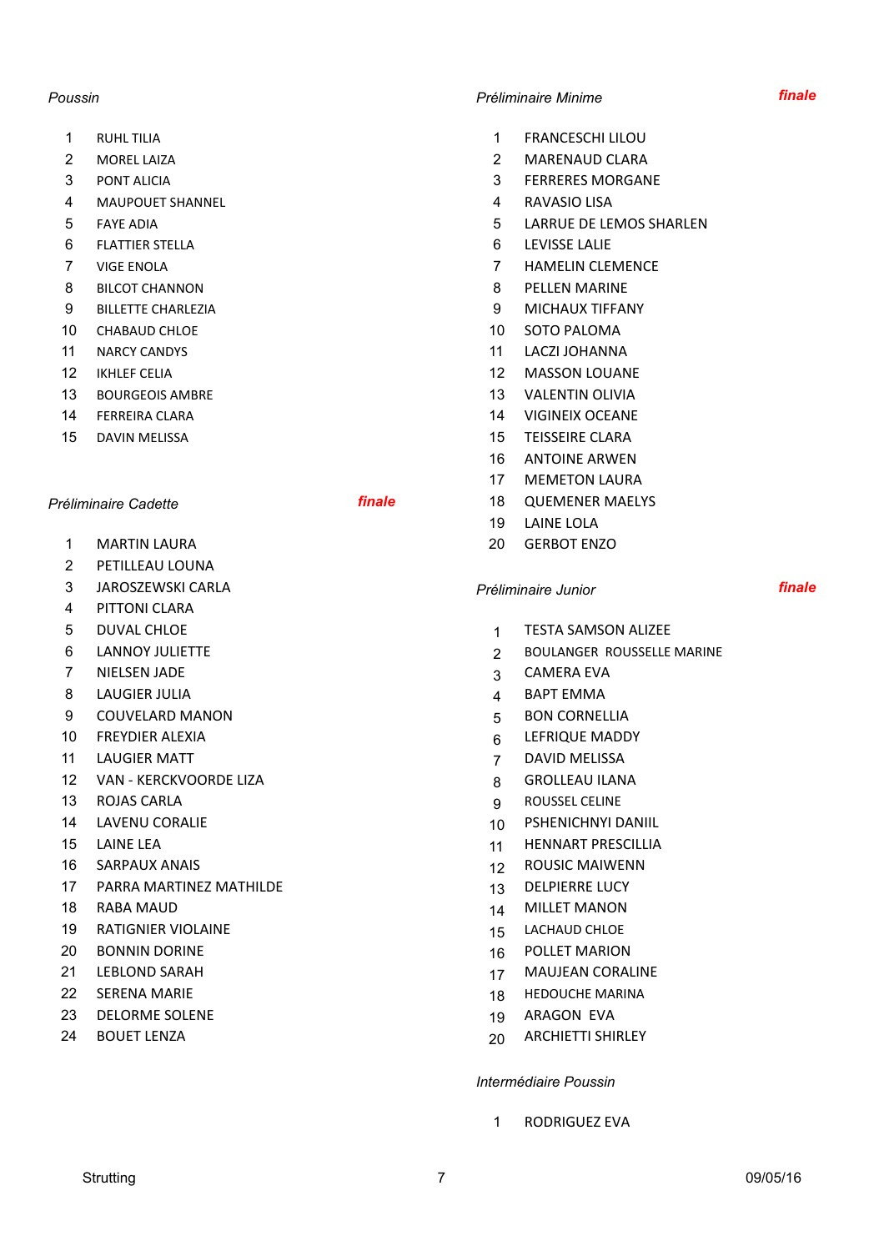- 
- 
- 
- 4 MAUPOUET SHANNEL 4 RAVASIO LISA
- 
- **6 FLATTIER STELLA 6 LEVISSE LALIE**
- 
- 8 BILCOT CHANNON **8 BILCOT CHANNON 8 BILCOT CHANNON**
- 9 BILLETTE CHARLEZIA 9 MICHAUX TIFFANY
- 
- 
- 
- 13 BOURGEOIS AMBRE 13 VALENTIN OLIVIA
- 
- 

- 1 MARTIN LAURA 20 GERBOT ENZO
- 2 PFTILLFAU LOUNA
- 3 JAROSZEWSKI CARLA *Préliminaire Junior finale*
- 4 PITTONI CLARA
- 
- 
- 7 NIELSEN JADE 3 CAMERA EVA
- 8 LAUGIER JULIA **1999 1999 1999 1999 1999 1999 1999 1999 1999 1999 1999 1999 1999 199**
- 9 COUVELARD MANON 65 BON CORNELLIA
- 
- 
- 12 VAN KERCKVOORDE LIZA 8 GROLLEAU ILANA
- 
- 
- 
- 
- 17 PARRA MARTINEZ MATHILDE 13 DELPIERRE LUCY
- 
- 19 RATIGNIER VIOLAINE 15 LACHAUD CHLOE
- 
- 
- 
- 23 DELORME SOLENE 19 ARAGON EVA
- 

## *Poussin Préliminaire Minime finale*

- 1 RUHL TILIA 1 RUHL 100
- 2 MOREL LAIZA 2 MARENAUD CLARA
- **3 PONT ALICIA 3 PONT ALICIA 3 PONT ALICIA** 
	-
- 5 FAYE ADIA 5 FAYE ADIA
	-
- The VIGE ENOLA CONTROLLER CONTROLLER THE STATE STATE AND THE MELTINGUIST OF THE MELTINGUIST OF THE STATE OF THE STATE OF THE STATE OF THE STATE OF THE STATE OF THE STATE OF THE STATE OF THE STATE OF THE STATE OF THE STATE
	-
	-
- 10 CHABAUD CHLOE 10 SOTO PALOMA
- 11 NARCY CANDYS 2002 11 NARCY CANDYS
- 12 IKHLEF CELIA 12 MASSON LOUANE
	-
- **14 FERREIRA CLARA 14 VIGINEIX OCEANE**
- 15 DAVIN MELISSA 15 NOVEMBER 15 TEISSEIRE CLARA
	- 16 ANTOINE ARWEN
	- 17 MEMETON LAURA
- *Préliminaire Cadette finale* 18 QUEMENER MAELYS
	- 19 LAINE LOLA
	-

- 5 DUVAL CHLOE 1 TESTA SAMSON ALIZEE
- 6 LANNOY JULIETTE **2 BOULANGER ROUSSELLE MARINE** 
	-
	-
	-
- 10 FREYDIER ALEXIA **10 FREYDIER ALEXIA** 6 LEFRIQUE MADDY
- 11 LAUGIER MATT **120 LAUGIER MATT** 120 LAUGIER MATT
	-
- 13 ROJAS CARLA 8 ROUSSEL CELINE
- 14 LAVENU CORALIE 10 PSHENICHNYI DANIIL
- 15 LAINE LEA 12 LAINE LEA 12 LAINE 10 LAINE 10 LAINE 10 LAINE 10 LAINE 11 HENNART PRESCILLIA
- 16 SARPAUX ANAIS 12 ROUSIC MAIWENN
	-
- 18 RABA MAUD 14 MILLET MANON
	-
- 20 BONNIN DORINE 16 POLLET MARION
- 21 LEBLOND SARAH 17 MAUJEAN CORALINE
- 22 SERENA MARIE 22 HEDOUCHE MARINA
	-
- 24 BOUET LENZA 20 ARCHIETTI SHIRLEY

### *Intermédiaire Poussin*

1 RODRIGUEZ EVA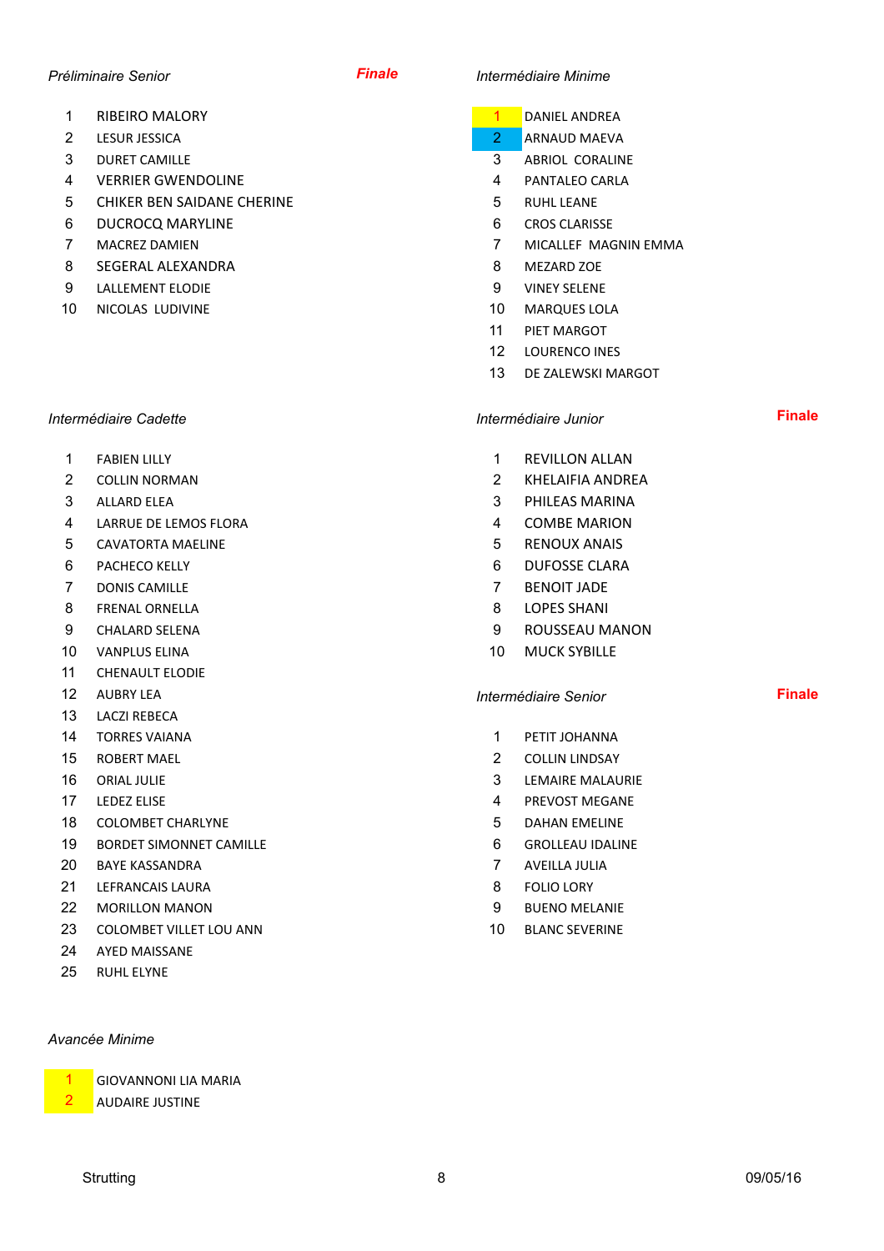- 1 RIBEIRO MALORY **1 DANIEL ANDREA**
- 
- 
- 4 VERRIER GWENDOLINE **1999 1-12 CONTACT 100 ASSESSMENT** 4 PANTALEO CARLA
- 5 CHIKER BEN SAIDANE CHERINE **1200 CHICAL STATES AND ARRIVE STATES AND ARRIVE STATES AND RUHL LEANE**
- 6 DUCROCQ MARYLINE 6 CROS CLARISSE
- 
- 8 SEGERAL ALEXANDRA 8 MEZARD ZOE
- 9 LALLEMENT ELODIE 2000 CONTENT ON THE SELEMENT CONTENT OF SELEME
- 10 NICOLAS LUDIVINE **10** MARQUES LOLA

# *Intermédiaire Cadette Intermédiaire Junior* **Finale**

- 
- 
- 
- 4 LARRUE DE LEMOS FLORA 4 COMBE MARION
- 5 CAVATORTA MAELINE 5 RENOUX ANAIS
- 
- **7 DONIS CAMILLE 2008 12 2009 12:00 12:00 13:00 14:00 14:00 14:00 14:00 14:00 14:00 14:00 14:00 14:00 14:00 14:00 14:00 14:00 14:00 14:00 14:00 14:00 14:00 14:00 14:00 14:00 14:00 14:00 14:00 14:00 14:00 14:00 14:00 14:00**
- 8 FRENAL ORNELLA 8 LOPES SHANI
- 
- 10 VANPLUS FLINA 10 VANPLUS ELINA
- 11 CHENAULT ELODIE
- 
- 13 LACZI REBECA
- **14 TORRES VAIANA** 1 **1 PETIT JOHANNA**
- 
- 
- 
- 18 COLOMBET CHARLYNE **18** COLOMBET CHARLYNE
- 19 BORDET SIMONNET CAMILLE **19 CONTACT COMING** 6 GROLLEAU IDALINE
- **20 BAYE KASSANDRA 7 AVEILLA JULIA**
- 21 LEFRANCAIS LAURA 8 FOLIO LORY
- **22 MORILLON MANON 120 MORILLON MANON 120 MORILLON MANON**
- 23 COLOMBET VILLET LOU ANN 10 BLANC SEVERINE
- 24 AYED MAISSANE
- 25 RUHL FLYNF

# *Avancée Minime*

**GIOVANNONI LIA MARIA** 

**AUDAIRE JUSTINE** 

# *Préliminaire Senior Finale Intermédiaire Minime*

- 
- **2** LESUR JESSICA **2 ARNAUD** MAEVA
- 3 DURET CAMILLE 3 ABRIOL CORALINE
	-
	-
	-
- 7 MACREZ DAMIEN 7 MICALLEF MAGNIN EMMA
	-
	-
	-
	- 11 PIET MARGOT
	- 12 LOURENCO INES
	- 13 DE ZALEWSKI MARGOT

- 1 FABIEN LILLY **1 REVILLON ALLAN**
- **2 COLLIN NORMAN 2 KHELAIFIA ANDREA**
- 3 ALLARD ELEA 3 PHILEAS MARINA
	-
	-
- 6 PACHECO KELLY **6 DUFOSSE CLARA** 
	-
	-
- 9 CHALARD SELENA 9 ROUSSEAU MANON
	-

# 12 AUBRY LEA **Internédiaire Senior Intermédiaire Senior Finale**

- 
- 15 ROBERT MAFI 2 COLLIN LINDSAY
- **16 ORIAL JULIE 2008 10 CONTROLLER SERVICE STATE AND STATE AND STATE AND STATE 3 LEMAIRE MALAURIE**
- 17 LEDEZ ELISE **Alternative Contract Contract Contract Contract Contract Contract Contract Contract Contract Contract Contract Contract Contract Contract Contract Contract Contract Contract Contract Contract Contract Contr** 
	-
	-
	-
	-
	-
	-
- 
- 
- 
- 
- 
- 
- 
-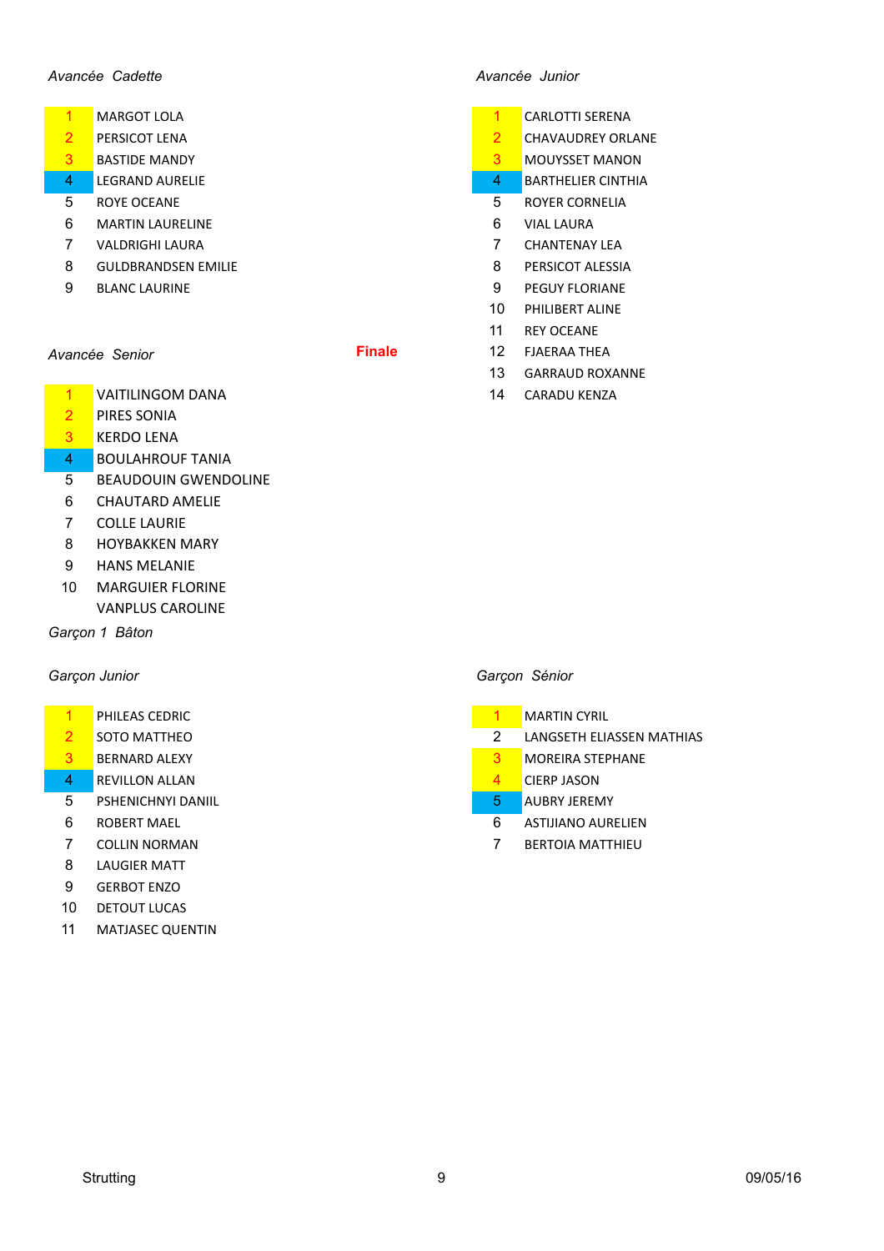## *Avancée Cadette Avancée Junior*

- 
- 2 PERSICOT LENA 2 CHAVAUDREY ORLANE
- **3** BASTIDE MANDY **3** MOUYSSET MANON
- 4 LEGRAND AURELIE **AUGUST 1999** CHECK AND THE SERVICE AND THE SERVICE AND THE SERVICE AND THE SERVICE AND THE SERVICE AND THE SERVICE AND THE SERVICE AND THE SERVICE AND THE SERVICE AND THE SERVICE AND THE SERVICE AND THE
- **5 ROYE OCEANE 5 ROYER CORNELIA**
- **6 MARTIN LAURELINE 1999 120 MARTIN LAURA** 1999 120 MAL LAURA
- **7 VALDRIGHI LAURA 7 CHANTENAY LEA**
- 8 GULDBRANDSEN EMILIE **8 PERSICOT ALESSIA**
- 

- 1 VAITILINGOM DANA 14 CARADU KENZA
- 2 PIRES SONIA
- 3 KERDO LENA
- 4 BOULAHROUF TANIA
- 5 BEAUDOUIN GWENDOLINE
- 6 CHAUTARD AMELIE
- 7 COLLE LAURIE
- 8 HOYBAKKEN MARY
- 9 HANS MELANIE
- 10 MARGUIER FLORINE **VANPLUS CAROLINE**

### *Garçon 1 Bâton*

- 1 PHILEAS CEDRIC
- 
- 3 BERNARD ALEXY
- 4 REVILLON ALLAN
- 5 PSHENICHNYI DANIIL
- 6 ROBERT MAEL
- 
- 8 LAUGIER MATT
- 9 GERBOT ENZO
- 10 DETOUT LUCAS
- 11 MATJASEC QUENTIN

- 1 MARGOT LOLA 2008 1 MARGOT LOLA
	-
	-
	-
	-
	-
	-
- 9 BLANC LAURINE 9 PEGUY FLORIANE
	- 10 PHILIBERT ALINE
	- 11 REY OCEANE
- **Avancée Senior Finale** 12 FJAERAA THEA
	- 13 GARRAUD ROXANNE
	-

## *Garçon Junior Garçon Sénior*

|   | PHILEAS CEDRIC        |                          | <b>MARTIN CYRIL</b>              |
|---|-----------------------|--------------------------|----------------------------------|
|   | <b>SOTO MATTHEO</b>   |                          | <b>LANGSETH ELIASSEN MATHIAS</b> |
|   | <b>BERNARD ALEXY</b>  |                          | <b>MOREIRA STEPHANE</b>          |
| 4 | <b>REVILLON ALLAN</b> |                          | <b>CIERP JASON</b>               |
| 5 | PSHENICHNYI DANIIL    | 5                        | <b>AUBRY JEREMY</b>              |
| 6 | ROBERT MAEL           | 6                        | <b>ASTIJIANO AURELIEN</b>        |
| ⇁ | --------------        | $\overline{\phantom{a}}$ | ------------------               |

**7 COLLIN NORMAN 7 BERTOIA MATTHIEU**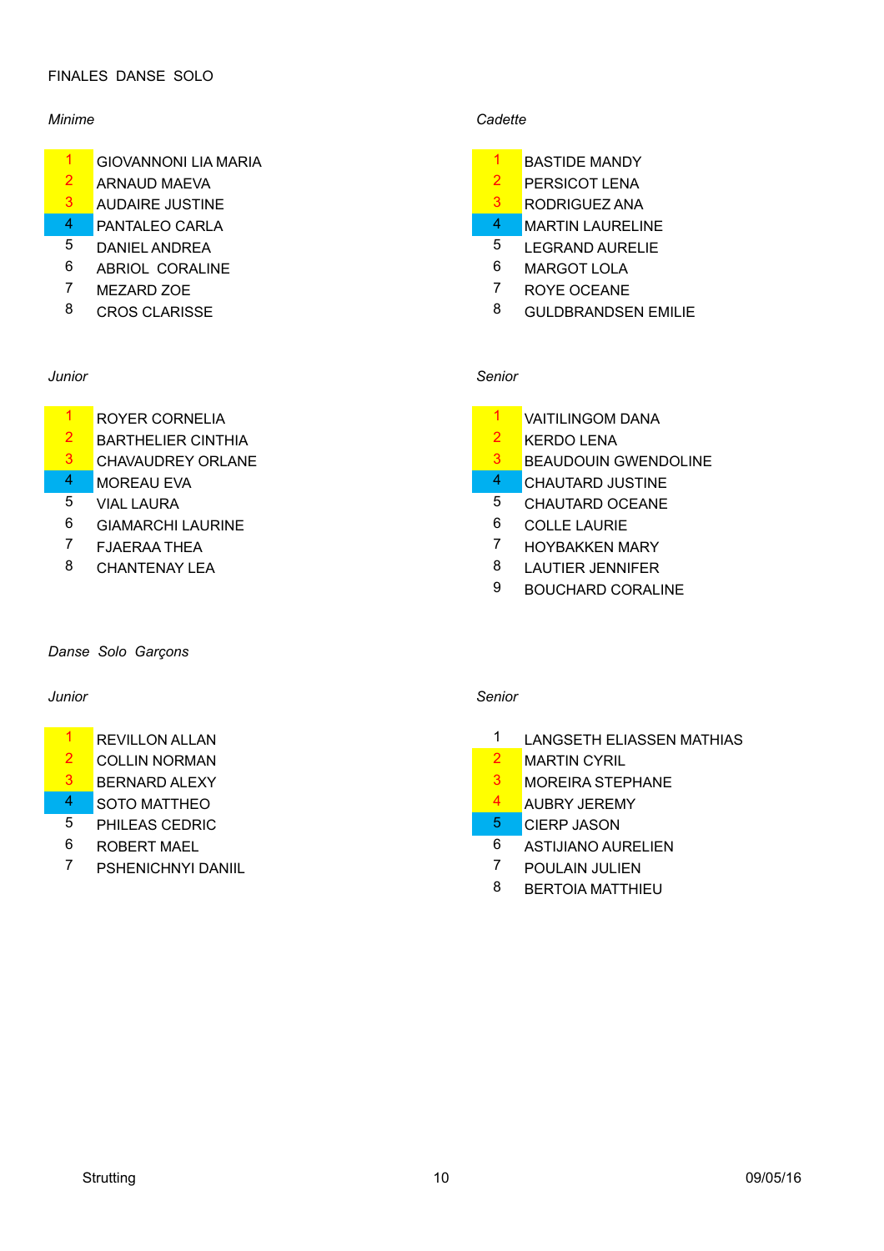# FINALES DANSE SOLO

- 1 GIOVANNONI LIA MARIA
- 2 ARNAUD MAEVA 2 PERSICOT LENA
- 3 AUDAIRE JUSTINE 2008 100 2009 100 2009 100 3 2009 100 3 2009 100 3 2009 100 3 2009 100 3 2009 100 3 2009 10
- 4 PANTALEO CARLA 2008 12 2009 12:00 12:00 12:00 12:00 12:00 12:00 12:00 12:00 12:00 12:00 12:00 12:00 12:00 12:00 12:00 12:00 12:00 12:00 12:00 12:00 12:00 12:00 12:00 12:00 12:00 12:00 12:00 12:00 12:00 12:00 12:00 12:00
- 5 DANIEL ANDREA 5 LEGRAND AURELIE
- 6 ABRIOL CORALINE 6 MARGOT LOLA
- 7 MEZARD ZOE 7 ROYE OCEANE
- 

- <sup>1</sup> ROYER CORNELIA<br>2 RAPTHELIER CINTHIA 1 VAITILINGOM DANA
- 2 BARTHELIER CINTHIA 2 KERDO LENA
- 
- 
- 
- 6 GIAMARCHI LAURINE 6 COLLE LAURIE
- 
- 

### *Danse Solo Garçons*

# *Junior Senior*

- 
- 
- 
- 
- **5** PHILEAS CEDRIC **1999** CIERP JASON
- 
- <sup>7</sup> PSHENICHNYI DANIIL 2 2 POULAIN JULIEN

# *Minime Cadette*

| <b>BASTIDE MANDY</b>  |
|-----------------------|
| <b>DEDOIOOT LENIA</b> |

- 
- 
- 
- 
- 
- 
- 8 CROS CLARISSE 8 GULDBRANDSEN EMILIE

# *Junior Senior*

- 
- 
- 3 CHAVAUDREY ORLANE 2008 CHAVAUDREY ORLANE
- 4 MOREAU EVA **4 CHAUTARD JUSTINE**
- **5** VIAL LAURA **5** VIAL LAURA
	-
- <sup>7</sup> FJAERAA THEA 7 HOYBAKKEN MARY
- 8 CHANTENAY LEA 8 LAUTIER JENNIFER
	- 9 BOUCHARD CORALINE

- 1 REVILLON ALLAN 1 LANGSETH ELIASSEN MATHIAS
- 2 COLLIN NORMAN 2 MARTIN CYRIL
- 3 BERNARD ALEXY **3 MOREIRA STEPHANE**
- 4 SOTO MATTHEO **4 AUBRY JEREMY** 
	-
- 6 ROBERT MAEL 6 ASTIJIANO AURELIEN
	-
	- 8 BERTOIA MATTHIEU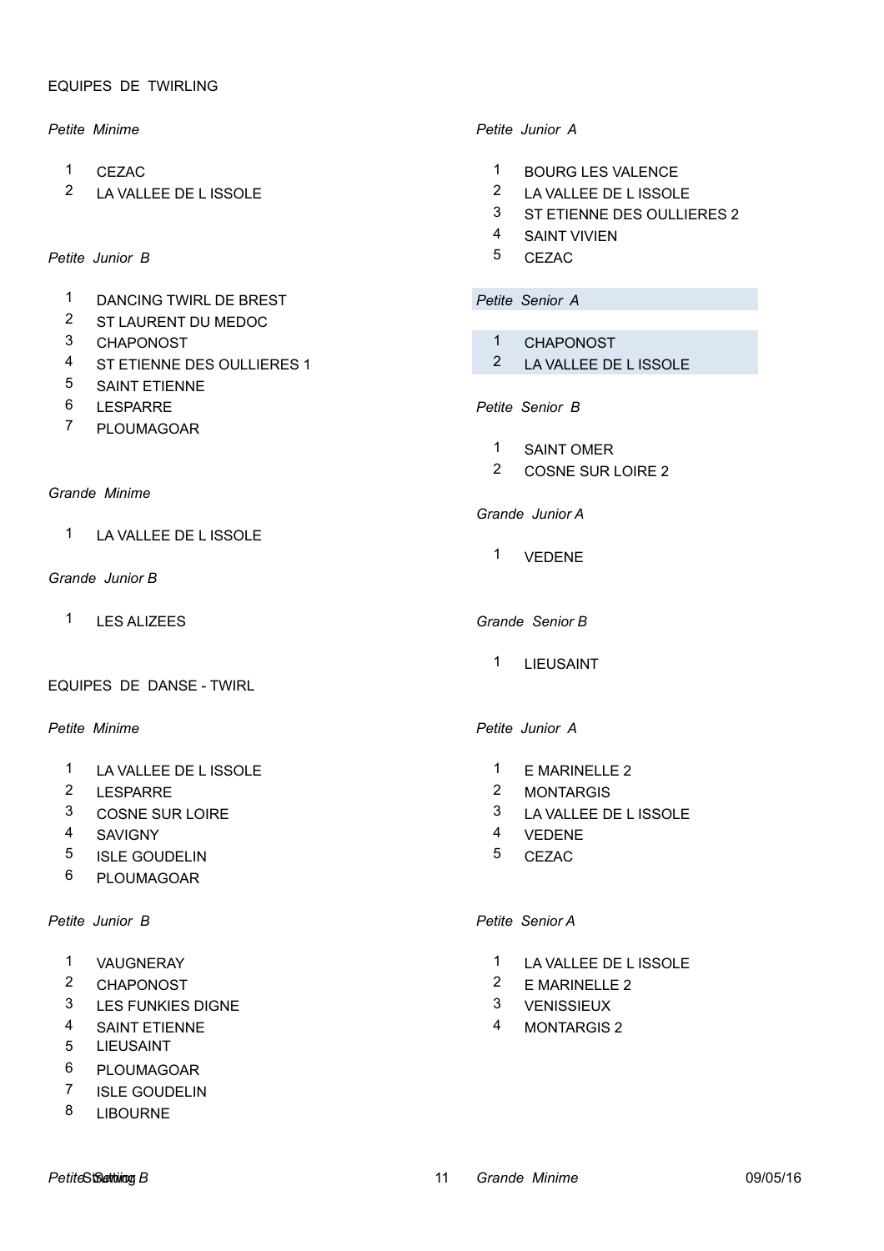### EQUIPES DE TWIRLING

- 
- 2 LA VALLEE DE L ISSOLE 2 LA VALLEE DE L ISSOLE

# Petite Junior B **5** CEZAC

- 1 DANCING TWIRL DE BREST *Petite Senior A*
- 2 ST LAURENT DU MEDOC
- 
- 4 ST ETIENNE DES OULLIERES 1 2 LA VALLEE DE L ISSOLE
- 5 SAINT ETIENNE
- 
- 7 PLOUMAGOAR

### *Grande Minime*

1 LA VALLEE DE L ISSOLE

### *Grande Junior B*

1 LES ALIZEES *Grande Senior B*

### EQUIPES DE DANSE - TWIRL

- 1 LA VALLEE DE L ISSOLE 1 E MARINELLE 2
- 
- 
- 
- 5 ISLE GOUDELIN 5 CEZAC
- 6 PLOUMAGOAR

## *Petite Junior B Petite Senior A*

- 
- 
- 3 LES FUNKIES DIGNE 3 VENISSIEUX
- 4 SAINT ETIENNE 4 MONTARGIS 2
- 5 LIEUSAINT
- 6 PLOUMAGOAR
- 7 ISLE GOUDELIN
- 8 LIBOURNE

### *Petite Minime Petite Junior A*

- 1 CEZAC 1 BOURG LES VALENCE
	-
	- 3 ST ETIENNE DES OULLIERES 2
	- 4 SAINT VIVIEN
		-

- 3 CHAPONOST 1 CHAPONOST
	-

# 6 LESPARRE *Petite Senior B*

- 1 SAINT OMER
- 2 COSNE SUR LOIRE 2

# *Grande Junior A*

1 VEDENE

1 LIEUSAINT

# *Petite Minime Petite Junior A*

- 
- 2 LESPARRE 2 MONTARGIS
- 3 COSNE SUR LOIRE 3 LA VALLEE DE L ISSOLE
- 4 SAVIGNY 4 VEDENE
	-

- 1 VAUGNERAY 1 LA VALLEE DE L ISSOLE
- 2 CHAPONOST 2 E MARINELLE 2
	-
	-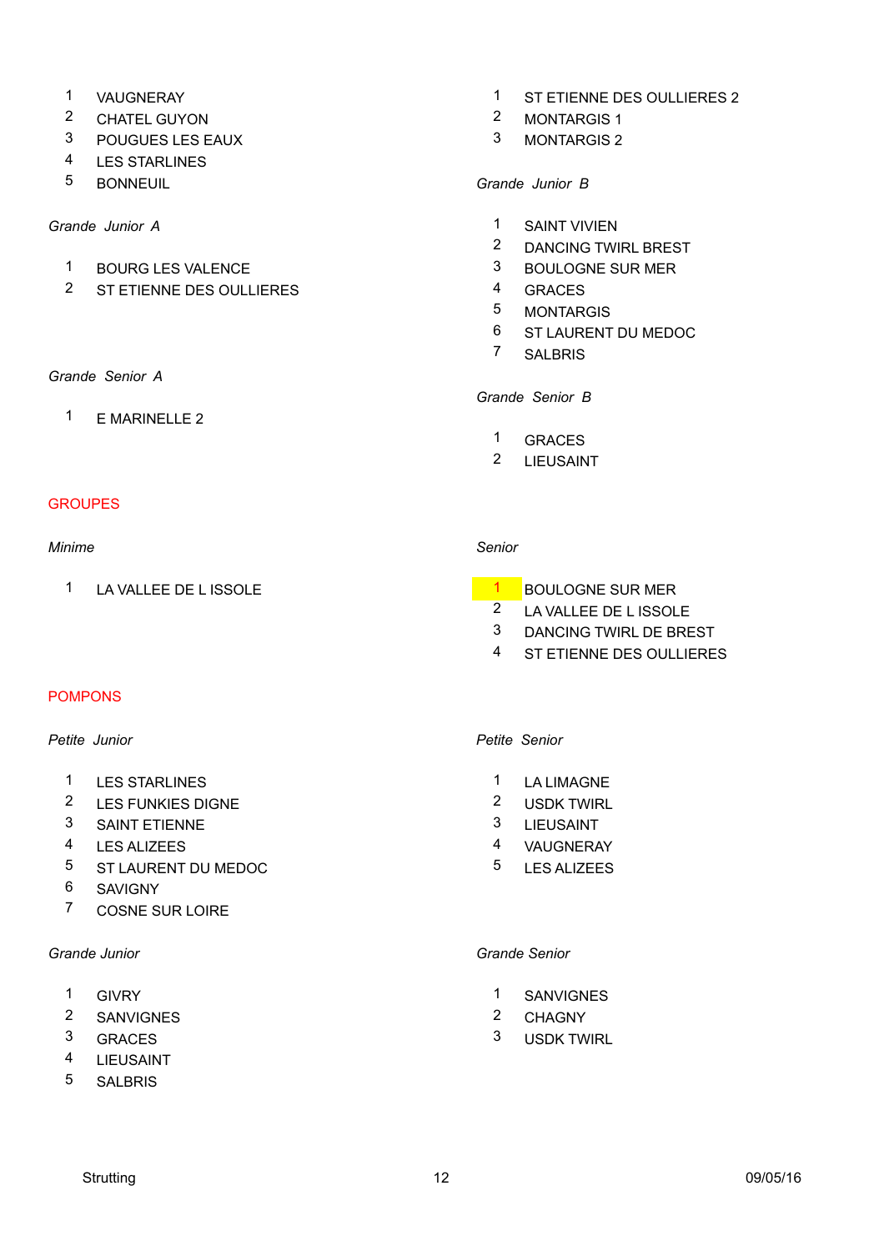- 
- 2 CHATEL GUYON 2 MONTARGIS 1
- 3 POUGUES LES EAUX 3 MONTARGIS 2
- 4 LES STARLINES
- 5 BONNEUIL *Grande Junior B*

- 1 BOURG LES VALENCE 3 BOULOGNE SUR MER
- 2 ST ETIENNE DES OULLIERES 4 GRACES

# *Grande Senior A*

1 E MARINELLE 2

# **GROUPES**

### *Minime Senior*

1 LA VALLEE DE L ISSOLE 1 BOULOGNE SUR MER

# POMPONS

# *Petite Junior Petite Senior*

- 1 LES STARLINES 1 LA LIMAGNE
- <sup>2</sup> LES FUNKIES DIGNE 2 USDK TWIRL
- 3 SAINT ETIENNE 3 LIEUSAINT
- 4 LES ALIZEES 4 VAUGNERAY
- 5 ST LAURENT DU MEDOC 5 LES ALIZEES
- 6 SAVIGNY
- 7 COSNE SUR LOIRE

- 
- 2 SANVIGNES 2 CHAGNY
- 
- 4 LIEUSAINT
- 5 SALBRIS
- 1 VAUGNERAY 1 ST ETIENNE DES OULLIERES 2
	-
	-

- **Grande Junior A** 1 SAINT VIVIEN
	- 2 DANCING TWIRL BREST
	-
	-
	- 5 MONTARGIS
	- 6 ST LAURENT DU MEDOC
	- 7 SALBRIS

# *Grande Senior B*

- 1 GRACES
- 2 LIEUSAINT

- 
- 2 LA VALLEE DE L ISSOLE
- 3 DANCING TWIRL DE BREST
- 4 ST ETIENNE DES OULLIERES

- 
- 
- 
- 
- 

### *Grande Junior Grande Senior*

- 1 GIVRY 1 SANVIGNES
	-
- 3 GRACES 3 USDK TWIRL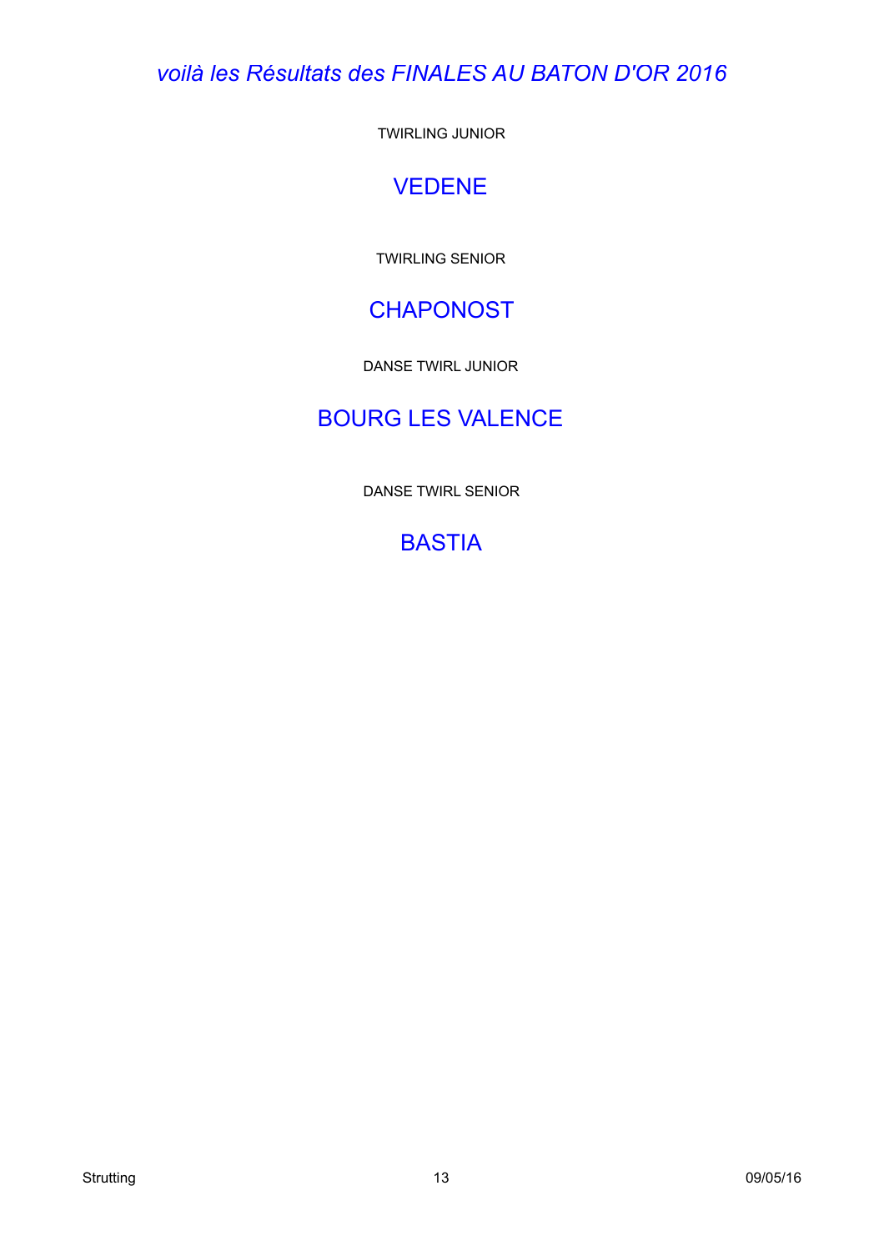*voilà les Résultats des FINALES AU BATON D'OR 2016*

TWIRLING JUNIOR

# VEDENE

TWIRLING SENIOR

# **CHAPONOST**

DANSE TWIRL JUNIOR

# BOURG LES VALENCE

DANSE TWIRL SENIOR

# **BASTIA**